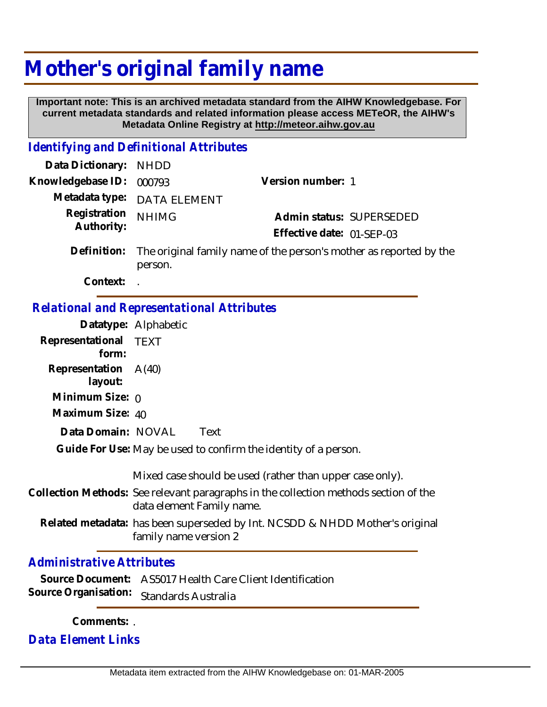## **Mother's original family name**

 **Important note: This is an archived metadata standard from the AIHW Knowledgebase. For current metadata standards and related information please access METeOR, the AIHW's Metadata Online Registry at http://meteor.aihw.gov.au**

## *Identifying and Definitional Attributes*

| Data Dictionary: NHDD      |                                                                                           |                           |                          |
|----------------------------|-------------------------------------------------------------------------------------------|---------------------------|--------------------------|
| Knowledgebase ID: 000793   |                                                                                           | Version number: 1         |                          |
|                            | Metadata type: DATA ELEMENT                                                               |                           |                          |
| Registration<br>Authority: | <b>NHIMG</b>                                                                              |                           | Admin status: SUPERSEDED |
|                            |                                                                                           | Effective date: 01-SEP-03 |                          |
|                            | Definition: The original family name of the person's mother as reported by the<br>person. |                           |                          |
| Context:                   |                                                                                           |                           |                          |

## *Relational and Representational Attributes*

|                                 | Datatype: Alphabetic                                                                                              |  |  |
|---------------------------------|-------------------------------------------------------------------------------------------------------------------|--|--|
| Representational TEXT<br>form:  |                                                                                                                   |  |  |
| Representation A(40)<br>layout: |                                                                                                                   |  |  |
| Minimum Size: 0                 |                                                                                                                   |  |  |
| Maximum Size: 40                |                                                                                                                   |  |  |
| Data Domain: NOVAL              | Text                                                                                                              |  |  |
|                                 | Guide For Use: May be used to confirm the identity of a person.                                                   |  |  |
|                                 | Mixed case should be used (rather than upper case only).                                                          |  |  |
|                                 | Collection Methods: See relevant paragraphs in the collection methods section of the<br>data element Family name. |  |  |
|                                 | Related metadata: has been superseded by Int. NCSDD & NHDD Mother's original<br>family name version 2             |  |  |
| Administrative Attributes       |                                                                                                                   |  |  |

| Source Document: AS5017 Health Care Client Identification |
|-----------------------------------------------------------|
| Source Organisation: Standards Australia                  |

**Comments:** .

*Data Element Links*